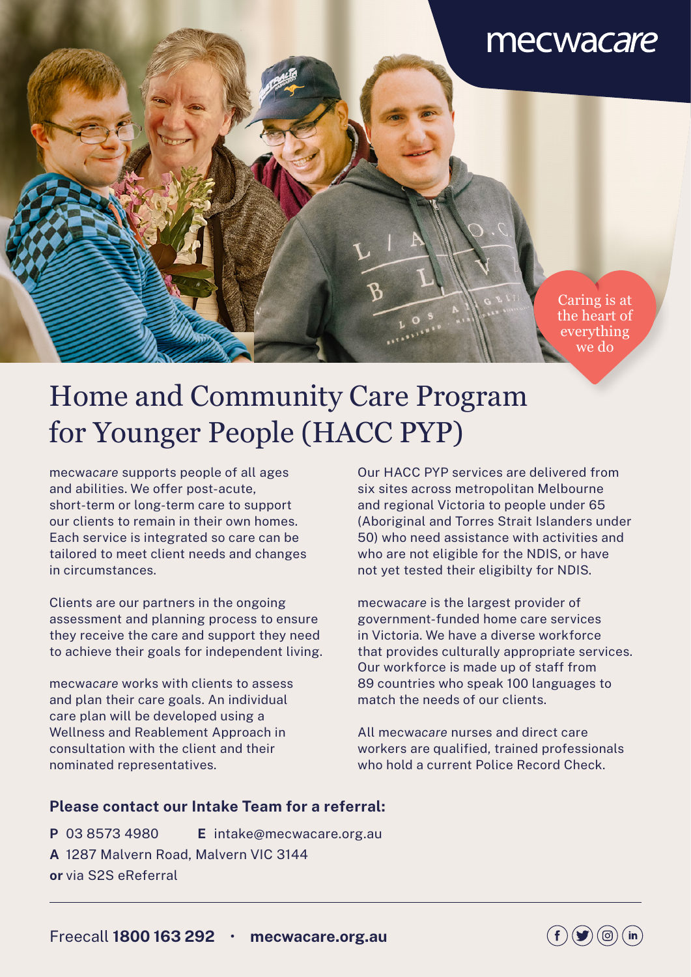## mecwacare

Caring is at the heart of everything we do

# Home and Community Care Program for Younger People (HACC PYP)

mecwa*care* supports people of all ages and abilities. We offer post-acute, short-term or long-term care to support our clients to remain in their own homes. Each service is integrated so care can be tailored to meet client needs and changes in circumstances.

Clients are our partners in the ongoing assessment and planning process to ensure they receive the care and support they need to achieve their goals for independent living.

mecwa*care* works with clients to assess and plan their care goals. An individual care plan will be developed using a Wellness and Reablement Approach in consultation with the client and their nominated representatives.

Our HACC PYP services are delivered from six sites across metropolitan Melbourne and regional Victoria to people under 65 (Aboriginal and Torres Strait Islanders under 50) who need assistance with activities and who are not eligible for the NDIS, or have not yet tested their eligibilty for NDIS.

mecwa*care* is the largest provider of government-funded home care services in Victoria. We have a diverse workforce that provides culturally appropriate services. Our workforce is made up of staff from 89 countries who speak 100 languages to match the needs of our clients.

All mecwa*care* nurses and direct care workers are qualified, trained professionals who hold a current Police Record Check.

#### **Please contact our Intake Team for a referral:**

**P** 03 8573 4980 **E** intake@mecwacare.org.au **A** 1287 Malvern Road, Malvern VIC 3144 **or** via S2S eReferral